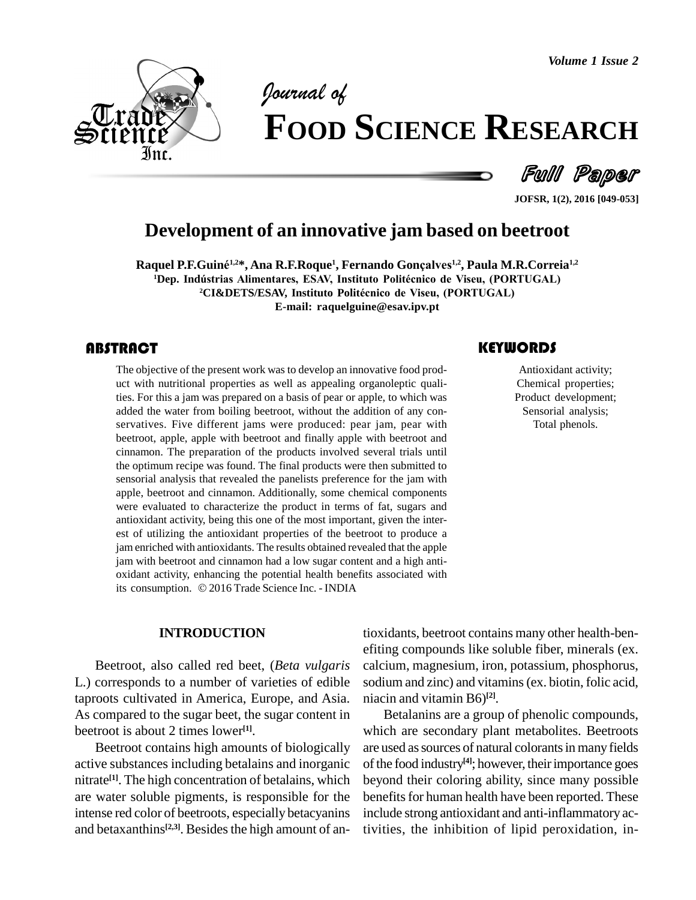*Volume 1 Issue 2*



# *of* **FOOD SCIENCE RESEARCH**

Full Paper

**JOFSR, 1(2), 2016 [049-053]**

# **Development of an innovative jam based on beetroot**

**Raquel P.F.Guin<sup>È</sup> 1,2\*, Ana R.F.Roque 1 , Fernando GonÁalves 1,2 , Paula M.R.Correia 1,2 <sup>1</sup>Dep. Ind˙strias Alimentares, ESAV, Instituto PolitÈcnico de Viseu, (PORTUGAL)** <sup>1</sup>Dep. Indústrias Alimentares, ESAV, Instituto Politécnico de Viseu, (PORTUGAL)<br><sup>2</sup>CI&DETS/ESAV, Instituto Politécnico de Viseu, (PORTUGAL) **E-mail: [raquelguine@esav.ipv.pt](mailto:raquelguine@esav.ipv.pt)**

The objective of the present work was to develop an innovative food prod-<br>
uct with nutritional properties as well as appealing organoleptic quali-<br>
ties. For this a jam was prepared on a basis of pear or apple, to which w The objective of the present work was to develop an innovative food prod uct with nutritional properties as well as appealing organoleptic qualiadded the water from boiling beetroot, without the addition of any conservatives. Five different jams were produced: pear jam, pear with beetroot, apple, apple with beetroot and finally apple with beetroot and cinnamon. The preparation of the products involved several trials until the optimum recipe was found. The final products were then submitted to sensorial analysis that revealed the panelists preference for the jam with apple, beetroot and cinnamon. Additionally, some chemical components were evaluated to characterize the product in terms of fat, sugars and antioxidant activity, being this one of the most important, given the inter est of utilizing the antioxidant properties of the beetroot to produce a jam enriched with antioxidants. The results obtained revealed that the apple jam with beetroot and cinnamon had a low sugar content and a high anti-<br>oxidant activity, enhancing the potential health benefits associated with<br>its consumption. © 2016 Trade Science Inc. - INDIA oxidant activity, enhancing the potential health benefits associated with

### **INTRODUCTION**

Beetroot, also called red beet, (*Beta vulgaris* L.) corresponds to a number of varieties of edible taproots cultivated in America, Europe, and Asia. As compared to the sugar beet, the sugar content in beetroot is about 2 times lower **[1]**.

Beetroot contains high amounts of biologically active substances including betalains and inorganic nitrate **[1]**. The high concentration of betalains, which are water soluble pigments, is responsible for the intense red color of beetroots, especially betacyanins and betaxanthins<sup>[2,3]</sup>. Besides the high amount of an-

tioxidants, beetroot contains many other health-ben efiting compounds like soluble fiber, minerals (ex. calcium, magnesium, iron, potassium, phosphorus, sodium and zinc) and vitamins (ex. biotin, folic acid, niacin and vitamin B6) **[2]**.

Betalanins are a group of phenolic compounds, which are secondary plant metabolites. Beetroots are used assources of natural colorantsin many fields of the food industry<sup>[4]</sup>; however, their importance goes beyond their coloring ability, since many possible benefits for human health have been reported. These include strong antioxidant and anti-inflammatory activities, the inhibition of lipid peroxidation, in-

## **KEYWORDS**

Antioxidant activity; Chemical properties; Product development; Sensorial analysis; Total phenols.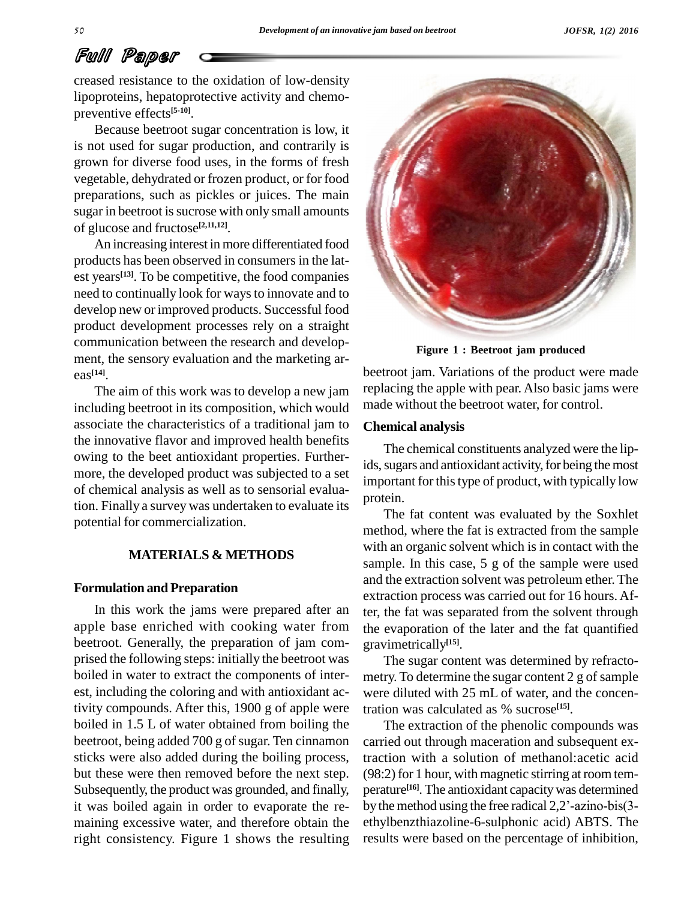# Full Paper

creased resistance to the oxidation of low-density lipoproteins, hepatoprotective activity and chemo preventive effects **[5-10]**.

Because beetroot sugar concentration is low, it is not used for sugar production, and contrarily is grown for diverse food uses, in the forms of fresh vegetable, dehydrated or frozen product, or for food preparations, such as pickles or juices. The main sugar in beetroot is sucrose with only small amounts of glucose and fructose **[2,11,12]**.

An increasing interest in more differentiated food products has been observed in consumers in the lat est years<sup>[13]</sup>. To be competitive, the food companies need to continually look for ways to innovate and to develop new or improved products. Successful food product development processes rely on a straight communication between the research and develop ment, the sensory evaluation and the marketing ar eas **[14]**.

The aim of this work was to develop a new jam including beetroot in its composition, which would associate the characteristics of a traditional jam to the innovative flavor and improved health benefits owing to the beet antioxidant properties. Further more, the developed product was subjected to a set of chemical analysis as well as to sensorial evaluation. Finally a survey was undertaken to evaluate its potential for commercialization.

### **MATERIALS & METHODS**

### **Formulation and Preparation**

In this work the jams were prepared after an apple base enriched with cooking water from beetroot. Generally, the preparation of jam comprised the following steps: initially the beetroot was boiled in water to extract the components of inter est, including the coloring and with antioxidant activity compounds. After this, 1900 g of apple were boiled in 1.5 L of water obtained from boiling the beetroot, being added 700 g of sugar. Ten cinnamon sticks were also added during the boiling process, but these were then removed before the next step. Subsequently, the product was grounded, and finally, it was boiled again in order to evaporate the re- by the method using the free radical 2,2'-azino-bis(3maining excessive water, and therefore obtain the right consistency. Figure 1 shows the resulting



**Figure 1 : Beetroot jam produced**

beetroot jam. Variations of the product were made replacing the apple with pear. Also basic jams were made without the beetroot water, for control.

### **Chemical analysis**

The chemical constituents analyzed were the lipids, sugars and antioxidant activity, for being the most important for this type of product, with typically low protein.

The fat content was evaluated by the Soxhlet method, where the fat is extracted from the sample with an organic solvent which is in contact with the sample. In this case, 5 g of the sample were used and the extraction solvent was petroleum ether. The extraction process was carried out for 16 hours. After, the fat was separated from the solvent through the evaporation of the later and the fat quantified gravimetrically **[15]**.

The sugar content was determined by refracto metry. To determine the sugar content  $2$  g of sample were diluted with 25 mL of water, and the concentration was calculated as % sucrose **[15]**.

The extraction of the phenolic compounds was carried out through maceration and subsequent extraction with a solution of methanol: acetic acid (98:2) for 1 hour, with magnetic stirring at room temperature<sup>[16]</sup>. The antioxidant capacity was determined (98:2) for 1 hour, with magnetic stirring at room temperature<sup>[16]</sup>. The antioxidant capacity was determined<br>by the method using the free radical  $2,2^{\prime}$ -azino-bis(3ethylbenzthiazoline-6-sulphonic acid) ABTS. The results were based on the percentage of inhibition,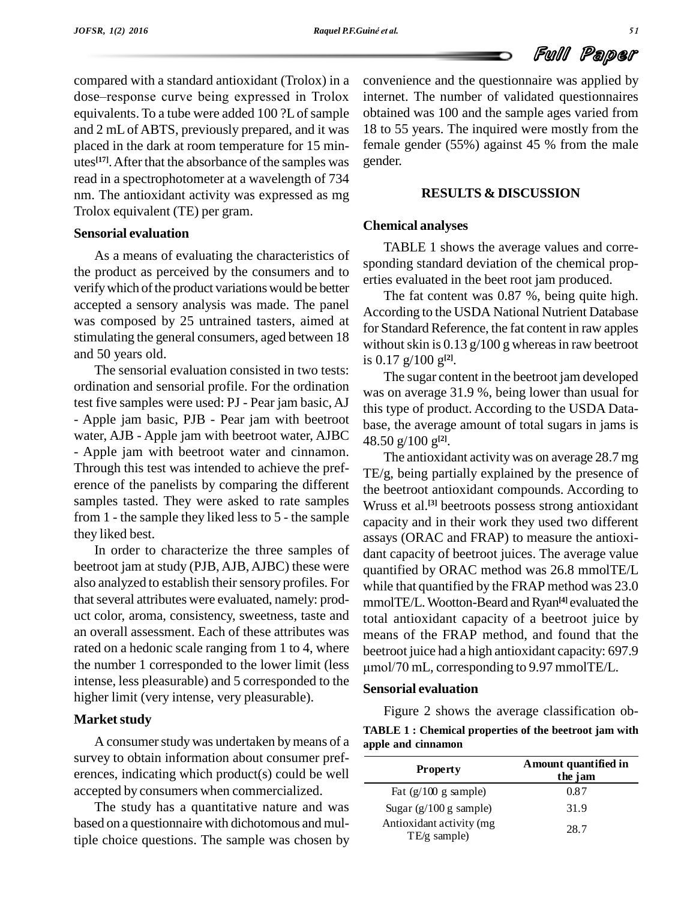compared with a standard antioxidant (Trolox) in a compared with a standard antioxidant (Trolox) in a conver<br>dose–response curve being expressed in Trolox interne equivalents. To a tube were added 100 ?L of sample and 2 mLof ABTS, previously prepared, and it was placed in the dark at room temperature for 15 min utes **[17]**.After that the absorbance of the samples was read in a spectrophotometer at a wavelength of 734 nm. The antioxidant activity was expressed as mg Trolox equivalent (TE) per gram.

### **Sensorial evaluation**

As a means of evaluating the characteristics of the product as perceived by the consumers and to verify which of the product variations would be better accepted a sensory analysis was made. The panel was composed by 25 untrained tasters, aimed at stimulating the general consumers, aged between 18 and 50 years old.

The sensorial evaluation consisted in two tests: ordination and sensorial profile. For the ordination test five samples were used: PJ - Pear jam basic, AJ - Apple jam basic, PJB - Pear jam with beetroot water, AJB - Apple jam with beetroot water, AJBC - Apple jam with beetroot water and cinnamon. Through this test was intended to achieve the pref erence of the panelists by comparing the different samples tasted. They were asked to rate samples from  $1$  - the sample they liked less to  $5$  - the sample they liked best.

In order to characterize the three samples of beetroot jam at study (PJB, AJB, AJBC) these were also analyzed to establish their sensory profiles. For that several attributes were evaluated, namely: product color, aroma, consistency, sweetness, taste and an overall assessment. Each of these attributes was rated on a hedonic scale ranging from 1 to 4, where the number 1 corresponded to the lower limit (less intense, less pleasurable) and 5 corresponded to the higher limit (very intense, very pleasurable).

### **Marketstudy**

A consumer study was undertaken by means of a survey to obtain information about consumer pref erences, indicating which product(s) could be well accepted by consumers when commercialized.

The study has a quantitative nature and was based on a questionnaire with dichotomous and multiple choice questions. The sample was chosen by convenience and the questionnaire was applied by internet. The number of validated questionnaires obtained was 100 and the sample ages varied from 18 to 55 years. The inquired were mostly from the female gender (55%) against 45 % from the male gender.

### **RESULTS & DISCUSSION**

### **Chemical analyses**

TABLE 1 shows the average values and corre sponding standard deviation of the chemical prop erties evaluated in the beet root jam produced.

The fat content was 0.87 %, being quite high. According to the USDA National Nutrient Database for Standard Reference, the fat content in raw apples without skin is  $0.13$  g/100 g whereas in raw beetroot is 0.17 g/100 g **[2]**.

The sugar content in the beetroot jam developed was on average 31.9 %, being lower than usual for this type of product. According to the USDA Data base, the average amount of total sugars in jams is 48.50 g/100 g **[2]**.

The antioxidant activity was on average 28.7 mg TE/g, being partially explained by the presence of the beetroot antioxidant compounds. According to Wruss et al. **[3]** beetroots possess strong antioxidant capacity and in their work they used two different assays (ORAC and FRAP) to measure the antioxi dant capacity of beetroot juices. The average value quantified by ORAC method was 26.8 mmolTE/L while that quantified by the FRAP method was 23.0 mmolTE/L. Wootton-Beard and Ryan<sup>[4]</sup> evaluated the total antioxidant capacity of a beetroot juice by means of the FRAP method, and found that the beetroot juice had a high antioxidant capacity: 697.9  $\mu$ mol/70 mL, corresponding to 9.97 mmolTE/L.

### **Sensorial evaluation**

Figure 2 shows the average classification ob-

**TABLE 1 : Chemical properties of the beetroot jam with apple and cinnamon**

| <b>Property</b>                          | Amount quantified in<br>the jam |
|------------------------------------------|---------------------------------|
| Fat $(g/100 g \text{ sample})$           | 0.87                            |
| Sugar $(g/100 g \text{ sample})$         | 31.9                            |
| Antioxidant activity (mg<br>TE/g sample) | 28.7                            |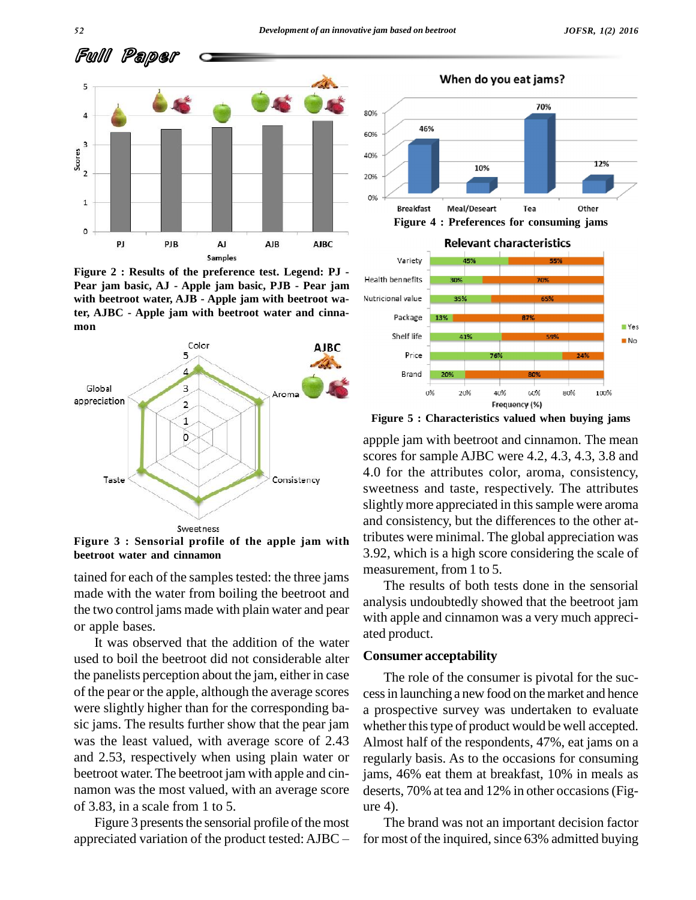80%

60%

46%





**Figure** 2 : **Results** of the preference test. Legend: PJ **-** Health bennefits **Pear jam basic, AJ - Apple jam basic, PJB - Pear jam with beetroot water, AJB - Apple jam with beetroot water, AJBC - Apple jam with beetroot water and cinna mon**



**Figure 3 : Sensorial profile of the apple jam with beetroot water and cinnamon**

tained for each of the samples tested: the three jams made with the water from boiling the beetroot and the two control jams made with plain water and pear or apple bases.

It was observed that the addition of the water used to boil the beetroot did not considerable alter the panelists perception about the jam, either in case of the pear or the apple, although the average scores were slightly higher than for the corresponding ba sic jams. The results further show that the pear jam was the least valued, with average score of 2.43 and 2.53, respectively when using plain water or beetroot water.The beetroot jam with apple and cin namon was the most valued, with an average score of 3.83, in a scale from 1 to 5.

Figure 3 presents the sensorial profile of the most appreciated variation of the product tested:  $\triangle$ JBC  $-$ 

40% 12% 10% 20% 0% **Breakfast** Meal/Deseart Tea Other **Figure 4 : Preferences for consuming jams Relevant characteristics** Variety Nutricional value 35% Package  $Yes$ Shelf life  $N<sub>O</sub>$ Price Brand o% 20% 40% GO% 80% 100% Frequency (%)

When do you eat jams?

70%

**Figure 5 : Characteristics valued when buying jams**

appple jam with beetroot and cinnamon. The mean scores for sample AJBC were 4.2, 4.3, 4.3, 3.8 and 4.0 for the attributes color, aroma, consistency, sweetness and taste, respectively. The attributes slightly more appreciated in this sample were aroma and consistency, but the differences to the other attributes were minimal. The global appreciation was 3.92, which is a high score considering the scale of measurement, from 1 to 5.

The results of both tests done in the sensorial analysis undoubtedly showed that the beetroot jam with apple and cinnamon was a very much appreci ated product.

### **Consumer acceptability**

The role of the consumer is pivotal for the suc cessin launching a new food on themarket and hence a prospective survey was undertaken to evaluate whether this type of product would be well accepted. Almost half of the respondents, 47%, eat jams on a regularly basis. As to the occasions for consuming jams, 46% eat them at breakfast, 10% in meals as deserts, 70% at tea and 12% in other occasions(Fig ure 4).

The brand was not an important decision factor for most of the inquired, since 63% admitted buying